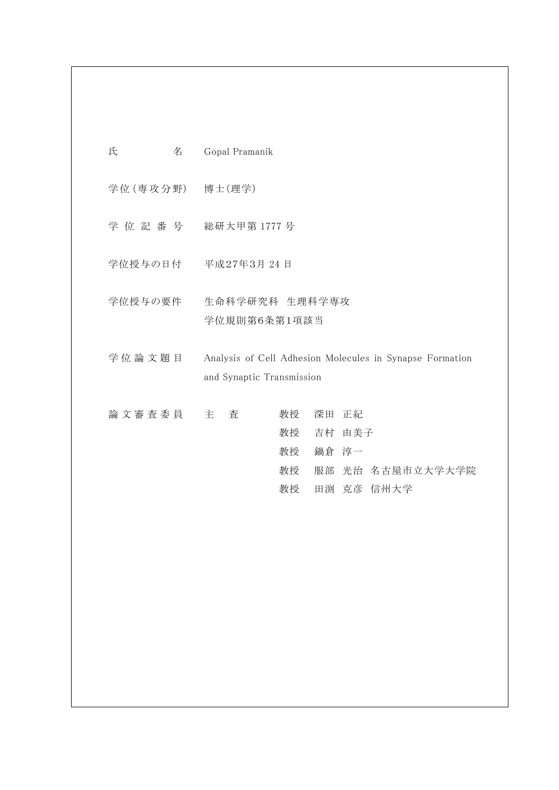| 氏<br>名    | Gopal Pramanik                                                                                     |
|-----------|----------------------------------------------------------------------------------------------------|
| 学位 (専攻分野) | 博士(理学)                                                                                             |
| 学位記番号     | 総研大甲第1777号                                                                                         |
| 学位授与の日付   | 平成27年3月 24日                                                                                        |
| 学位授与の要件   | 生命科学研究科 生理科学専攻<br>学位規則第6条第1項該当                                                                     |
| 学位論文題目    | Analysis of Cell Adhesion Molecules in Synapse Formation<br>and Synaptic Transmission              |
| 論文審査委員    | 深田 正紀<br>主<br>査<br>教授<br>吉村 由美子<br>教授<br>鍋倉 淳一<br>教授<br>教授<br>服部 光治 名古屋市立大学大学院<br>田渕 克彦 信州大学<br>教授 |
|           |                                                                                                    |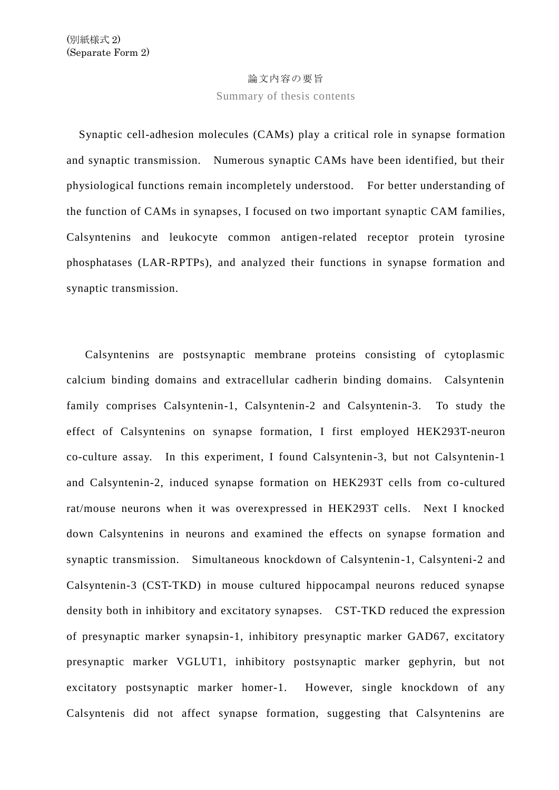## 論文内容の要旨

Summary of thesis contents

Synaptic cell-adhesion molecules (CAMs) play a critical role in synapse formation and synaptic transmission. Numerous synaptic CAMs have been identified, but their physiological functions remain incompletely understood. For better understanding of the function of CAMs in synapses, I focused on two important synaptic CAM families, Calsyntenins and leukocyte common antigen-related receptor protein tyrosine phosphatases (LAR-RPTPs), and analyzed their functions in synapse formation and synaptic transmission.

 Calsyntenins are postsynaptic membrane proteins consisting of cytoplasmic calcium binding domains and extracellular cadherin binding domains. Calsyntenin family comprises Calsyntenin-1, Calsyntenin-2 and Calsyntenin-3. To study the effect of Calsyntenins on synapse formation, I first employed HEK293T-neuron co-culture assay. In this experiment, I found Calsyntenin-3, but not Calsyntenin-1 and Calsyntenin-2, induced synapse formation on HEK293T cells from co-cultured rat/mouse neurons when it was overexpressed in HEK293T cells. Next I knocked down Calsyntenins in neurons and examined the effects on synapse formation and synaptic transmission. Simultaneous knockdown of Calsyntenin-1, Calsynteni-2 and Calsyntenin-3 (CST-TKD) in mouse cultured hippocampal neurons reduced synapse density both in inhibitory and excitatory synapses. CST-TKD reduced the expression of presynaptic marker synapsin-1, inhibitory presynaptic marker GAD67, excitatory presynaptic marker VGLUT1, inhibitory postsynaptic marker gephyrin, but not excitatory postsynaptic marker homer-1. However, single knockdown of any Calsyntenis did not affect synapse formation, suggesting that Calsyntenins are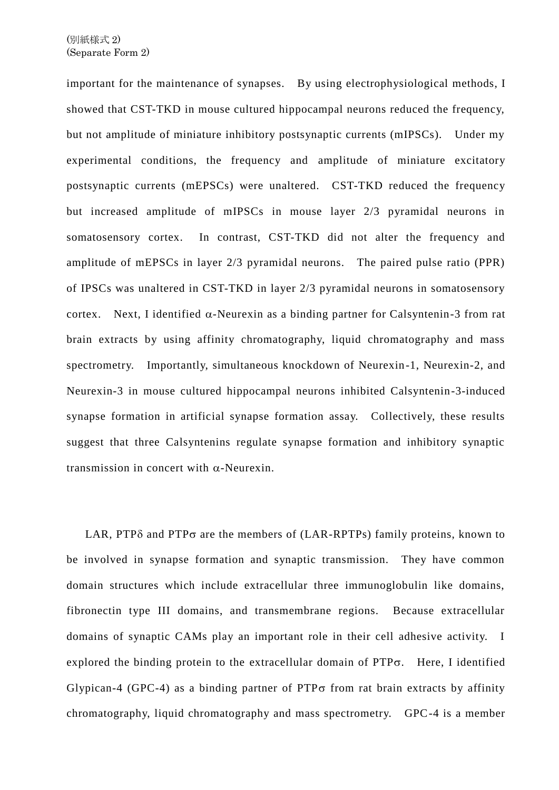important for the maintenance of synapses. By using electrophysiological methods, I showed that CST-TKD in mouse cultured hippocampal neurons reduced the frequency, but not amplitude of miniature inhibitory postsynaptic currents (mIPSCs). Under my experimental conditions, the frequency and amplitude of miniature excitatory postsynaptic currents (mEPSCs) were unaltered. CST-TKD reduced the frequency but increased amplitude of mIPSCs in mouse layer 2/3 pyramidal neurons in somatosensory cortex. In contrast, CST-TKD did not alter the frequency and amplitude of mEPSCs in layer 2/3 pyramidal neurons. The paired pulse ratio (PPR) of IPSCs was unaltered in CST-TKD in layer 2/3 pyramidal neurons in somatosensory cortex. Next, I identified  $\alpha$ -Neurexin as a binding partner for Calsyntenin-3 from rat brain extracts by using affinity chromatography, liquid chromatography and mass spectrometry. Importantly, simultaneous knockdown of Neurexin-1, Neurexin-2, and Neurexin-3 in mouse cultured hippocampal neurons inhibited Calsyntenin-3-induced synapse formation in artificial synapse formation assay. Collectively, these results suggest that three Calsyntenins regulate synapse formation and inhibitory synaptic transmission in concert with  $\alpha$ -Neurexin.

LAR, PTP $\delta$  and PTP $\sigma$  are the members of (LAR-RPTPs) family proteins, known to be involved in synapse formation and synaptic transmission. They have common domain structures which include extracellular three immunoglobulin like domains, fibronectin type III domains, and transmembrane regions. Because extracellular domains of synaptic CAMs play an important role in their cell adhesive activity. I explored the binding protein to the extracellular domain of  $PTP\sigma$ . Here, I identified Glypican-4 (GPC-4) as a binding partner of PTP $\sigma$  from rat brain extracts by affinity chromatography, liquid chromatography and mass spectrometry. GPC-4 is a member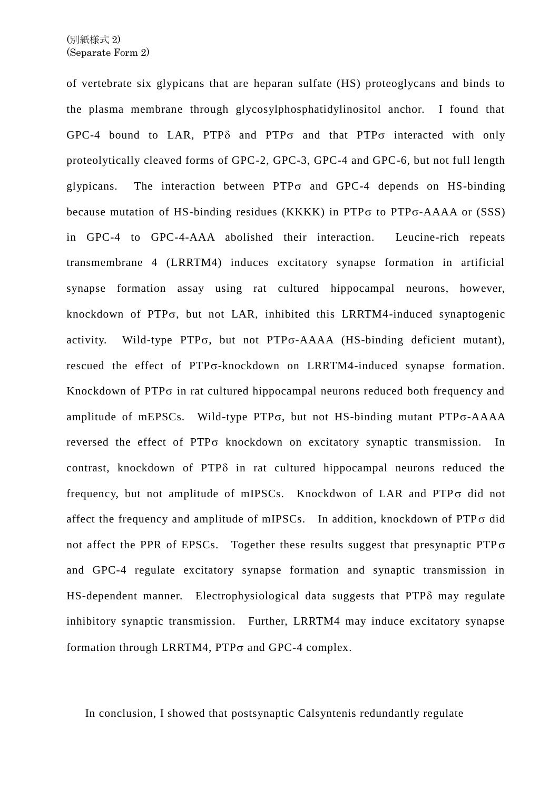of vertebrate six glypicans that are heparan sulfate (HS) proteoglycans and binds to the plasma membrane through glycosylphosphatidylinositol anchor. I found that GPC-4 bound to LAR, PTP $\delta$  and PTP $\sigma$  and that PTP $\sigma$  interacted with only proteolytically cleaved forms of GPC-2, GPC-3, GPC-4 and GPC-6, but not full length glypicans. The interaction between  $PTP\sigma$  and GPC-4 depends on HS-binding because mutation of HS-binding residues (KKKK) in PTP $\sigma$  to PTP $\sigma$ -AAAA or (SSS) in GPC-4 to GPC-4-AAA abolished their interaction. Leucine-rich repeats transmembrane 4 (LRRTM4) induces excitatory synapse formation in artificial synapse formation assay using rat cultured hippocampal neurons, however, knockdown of PTP $\sigma$ , but not LAR, inhibited this LRRTM4-induced synaptogenic activity. Wild-type PTP $\sigma$ , but not PTP $\sigma$ -AAAA (HS-binding deficient mutant), rescued the effect of PTP<sub>0</sub>-knockdown on LRRTM4-induced synapse formation. Knockdown of  $PTP\sigma$  in rat cultured hippocampal neurons reduced both frequency and amplitude of mEPSCs. Wild-type PTP $\sigma$ , but not HS-binding mutant PTP $\sigma$ -AAAA reversed the effect of  $PTP\sigma$  knockdown on excitatory synaptic transmission. In contrast, knockdown of  $PTP\delta$  in rat cultured hippocampal neurons reduced the frequency, but not amplitude of mIPSCs. Knockdwon of LAR and  $PTP\sigma$  did not affect the frequency and amplitude of mIPSCs. In addition, knockdown of  $PTP\sigma$  did not affect the PPR of EPSCs. Together these results suggest that presynaptic  $PTP\sigma$ and GPC-4 regulate excitatory synapse formation and synaptic transmission in HS-dependent manner. Electrophysiological data suggests that PTP $\delta$  may regulate inhibitory synaptic transmission. Further, LRRTM4 may induce excitatory synapse formation through LRRTM4,  $PTP\sigma$  and GPC-4 complex.

In conclusion, I showed that postsynaptic Calsyntenis redundantly regulate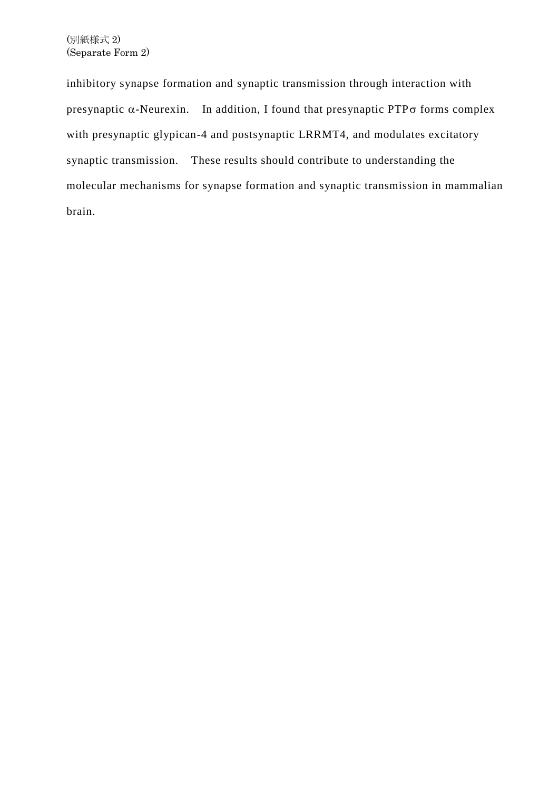inhibitory synapse formation and synaptic transmission through interaction with presynaptic  $\alpha$ -Neurexin. In addition, I found that presynaptic PTP $\sigma$  forms complex with presynaptic glypican-4 and postsynaptic LRRMT4, and modulates excitatory synaptic transmission. These results should contribute to understanding the molecular mechanisms for synapse formation and synaptic transmission in mammalian brain.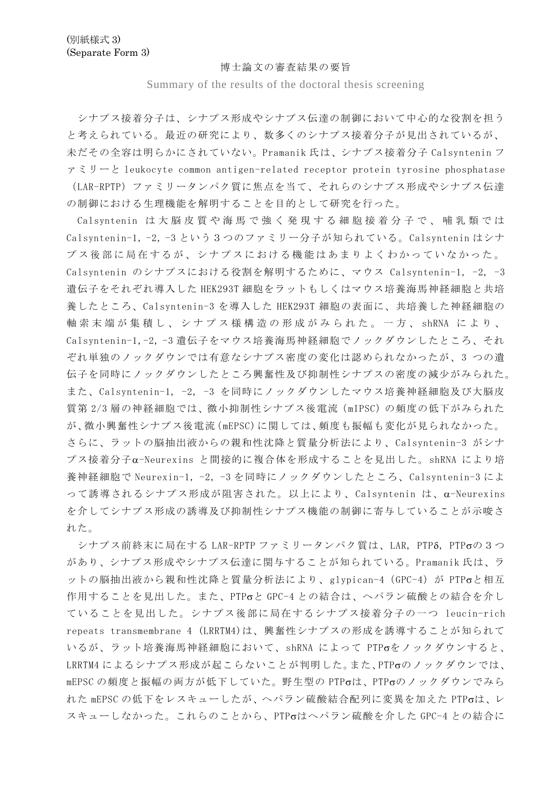## 博士論文の審査結果の要旨

Summary of the results of the doctoral thesis screening

シナプス接着分子は、シナプス形成やシナプス伝達の制御において中心的な役割を担う と考えられている。最近の研究により、数多くのシナプス接着分子が見出されているが、 未だその全容は明らかにされていない。Pramanik 氏は、シナプス接着分子 Calsyntenin フ ァミリーと leukocyte common antigen-related receptor protein tyrosine phosphatase (LAR-RPTP)ファミリータンパク質に焦点を当て、それらのシナプス形成やシナプス伝達 の制御における生理機能を解明することを目的として研究を行った。

Calsyntenin は 大 脳 皮 質 や 海 馬 で 強 く 発 現 す る 細 胞 接 着 分 子 で 、 哺 乳 類 で は Calsyntenin-1, -2, -3 という3つのファミリー分子が知られている。Calsyntenin はシナ プス後部に局在するが、シナプスにおける機能はあまりよくわかっていなかった。 Calsyntenin のシナプスにおける役割を解明するために、マウス Calsyntenin-1, -2, -3 遺伝子をそれぞれ導入した HEK293T 細胞をラットもしくはマウス培養海馬神経細胞と共培 養したところ、Calsyntenin-3 を導入した HEK293T 細胞の表面に、共培養した神経細胞の 軸 索 末 端 が 集 積 し 、 シ ナ プ ス 様 構 造 の 形 成 が み ら れ た 。 一 方 、 shRNA に よ り 、 Calsyntenin-1,-2, -3 遺伝子をマウス培養海馬神経細胞でノックダウンしたところ、それ ぞれ単独のノックダウンでは有意なシナプス密度の変化は認められなかったが、3 つの遺 伝子を同時にノックダウンしたところ興奮性及び抑制性シナプスの密度の減少がみられた。 また、Calsyntenin-1, -2, -3 を同時にノックダウンしたマウス培養神経細胞及び大脳皮 質第 2/3 層の神経細胞では、微小抑制性シナプス後電流(mIPSC)の頻度の低下がみられた が、微小興奮性シナプス後電流(mEPSC)に関しては、頻度も振幅も変化が見られなかった。 さらに、ラットの脳抽出液からの親和性沈降と質量分析法により、Calsyntenin-3 がシナ プス接着分子-Neurexins と間接的に複合体を形成することを見出した。shRNA により培 養神経細胞で Neurexin-1, -2, -3 を同時にノックダウンしたところ、Calsyntenin-3 によ って誘導されるシナプス形成が阻害された。以上により、Calsyntenin は、α-Neurexins を介してシナプス形成の誘導及び抑制性シナプス機能の制御に寄与していることが示唆さ れた。

シナプス前終末に局在する LAR-RPTP ファミリータンパク質は、LAR, PTP6, PTPoの3つ があり、シナプス形成やシナプス伝達に関与することが知られている。Pramanik 氏は、ラ ットの脳抽出液から親和性沈降と質量分析法により、glypican-4 (GPC-4) が PTPσと相互 作用することを見出した。また、PTPと GPC-4 との結合は、ヘパラン硫酸との結合を介し ていることを見出した。シナプス後部に局在するシナプス接着分子の一つ leucin-rich repeats transmembrane 4 (LRRTM4)は、興奮性シナプスの形成を誘導することが知られて いるが、ラット培養海馬神経細胞において、shRNA によって PTPをノックダウンすると、 LRRTM4 によるシナプス形成が起こらないことが判明した。また、PTPのノックダウンでは、 mEPSC の頻度と振幅の両方が低下していた。野生型の PTPは、PTPのノックダウンでみら れた mEPSC の低下をレスキューしたが、ヘパラン硫酸結合配列に変異を加えた PTPoは、レ スキューしなかった。これらのことから、PTPはヘパラン硫酸を介した GPC-4 との結合に